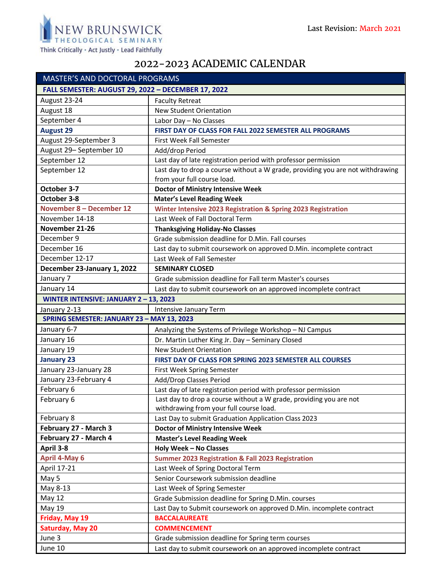

## 2022-2023 ACADEMIC CALENDAR

| <b>MASTER'S AND DOCTORAL PROGRAMS</b>              |                                                                                |
|----------------------------------------------------|--------------------------------------------------------------------------------|
| FALL SEMESTER: AUGUST 29, 2022 - DECEMBER 17, 2022 |                                                                                |
| August 23-24                                       | <b>Faculty Retreat</b>                                                         |
| August 18                                          | <b>New Student Orientation</b>                                                 |
| September 4                                        | Labor Day - No Classes                                                         |
| <b>August 29</b>                                   | FIRST DAY OF CLASS FOR FALL 2022 SEMESTER ALL PROGRAMS                         |
| August 29-September 3                              | First Week Fall Semester                                                       |
| August 29-September 10                             | Add/drop Period                                                                |
| September 12                                       | Last day of late registration period with professor permission                 |
| September 12                                       | Last day to drop a course without a W grade, providing you are not withdrawing |
|                                                    | from your full course load.                                                    |
| October 3-7                                        | <b>Doctor of Ministry Intensive Week</b>                                       |
| October 3-8                                        | <b>Mater's Level Reading Week</b>                                              |
| November 8 - December 12                           | Winter Intensive 2023 Registration & Spring 2023 Registration                  |
| November 14-18                                     | Last Week of Fall Doctoral Term                                                |
| November 21-26                                     | <b>Thanksgiving Holiday-No Classes</b>                                         |
| December 9                                         | Grade submission deadline for D.Min. Fall courses                              |
| December 16                                        | Last day to submit coursework on approved D.Min. incomplete contract           |
| December 12-17                                     | Last Week of Fall Semester                                                     |
| December 23-January 1, 2022                        | <b>SEMINARY CLOSED</b>                                                         |
| January 7                                          | Grade submission deadline for Fall term Master's courses                       |
| January 14                                         | Last day to submit coursework on an approved incomplete contract               |
| WINTER INTENSIVE: JANUARY 2-13, 2023               |                                                                                |
| January 2-13                                       | Intensive January Term                                                         |
| SPRING SEMESTER: JANUARY 23 - MAY 13, 2023         |                                                                                |
| January 6-7                                        | Analyzing the Systems of Privilege Workshop - NJ Campus                        |
| January 16                                         | Dr. Martin Luther King Jr. Day - Seminary Closed                               |
| January 19                                         | <b>New Student Orientation</b>                                                 |
| <b>January 23</b>                                  | FIRST DAY OF CLASS FOR SPRING 2023 SEMESTER ALL COURSES                        |
| January 23-January 28                              | First Week Spring Semester                                                     |
| January 23-February 4                              | Add/Drop Classes Period                                                        |
| February 6                                         | Last day of late registration period with professor permission                 |
| February 6                                         | Last day to drop a course without a W grade, providing you are not             |
|                                                    | withdrawing from your full course load.                                        |
| February 8                                         | Last Day to submit Graduation Application Class 2023                           |
| February 27 - March 3                              | <b>Doctor of Ministry Intensive Week</b>                                       |
| February 27 - March 4                              | <b>Master's Level Reading Week</b>                                             |
| April 3-8                                          | <b>Holy Week - No Classes</b>                                                  |
| <b>April 4-May 6</b>                               | <b>Summer 2023 Registration &amp; Fall 2023 Registration</b>                   |
| April 17-21                                        | Last Week of Spring Doctoral Term                                              |
| May 5                                              | Senior Coursework submission deadline                                          |
| May 8-13                                           | Last Week of Spring Semester                                                   |
| <b>May 12</b>                                      | Grade Submission deadline for Spring D.Min. courses                            |
| May 19                                             | Last Day to Submit coursework on approved D.Min. incomplete contract           |
| Friday, May 19                                     | <b>BACCALAUREATE</b>                                                           |
| <b>Saturday, May 20</b>                            | <b>COMMENCEMENT</b>                                                            |
| June 3                                             | Grade submission deadline for Spring term courses                              |
| June 10                                            | Last day to submit coursework on an approved incomplete contract               |